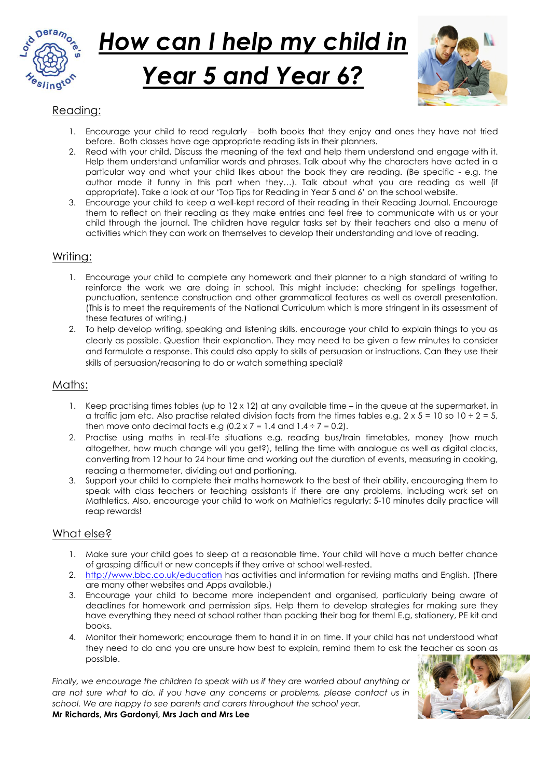

# How can I help my child in Year 5 and Year 6?



# Reading:

- 1. Encourage your child to read regularly both books that they enjoy and ones they have not tried before. Both classes have age appropriate reading lists in their planners.
- 2. Read with your child. Discuss the meaning of the text and help them understand and engage with it. Help them understand unfamiliar words and phrases. Talk about why the characters have acted in a particular way and what your child likes about the book they are reading. (Be specific - e.g. the author made it funny in this part when they…). Talk about what you are reading as well (if appropriate). Take a look at our 'Top Tips for Reading in Year 5 and 6' on the school website.
- 3. Encourage your child to keep a well-kept record of their reading in their Reading Journal. Encourage them to reflect on their reading as they make entries and feel free to communicate with us or your child through the journal. The children have regular tasks set by their teachers and also a menu of activities which they can work on themselves to develop their understanding and love of reading.

#### Writing:

- 1. Encourage your child to complete any homework and their planner to a high standard of writing to reinforce the work we are doing in school. This might include: checking for spellings together, punctuation, sentence construction and other grammatical features as well as overall presentation. (This is to meet the requirements of the National Curriculum which is more stringent in its assessment of these features of writing.)
- 2. To help develop writing, speaking and listening skills, encourage your child to explain things to you as clearly as possible. Question their explanation. They may need to be given a few minutes to consider and formulate a response. This could also apply to skills of persuasion or instructions. Can they use their skills of persuasion/reasoning to do or watch something special?

#### Maths:

- 1. Keep practising times tables (up to  $12 \times 12$ ) at any available time in the queue at the supermarket, in a traffic jam etc. Also practise related division facts from the times tables e.g.  $2 \times 5 = 10$  so  $10 \div 2 = 5$ , then move onto decimal facts e.g  $(0.2 \times 7 = 1.4 \text{ and } 1.4 \div 7 = 0.2)$ .
- 2. Practise using maths in real-life situations e.g. reading bus/train timetables, money (how much altogether, how much change will you get?), telling the time with analogue as well as digital clocks, converting from 12 hour to 24 hour time and working out the duration of events, measuring in cooking, reading a thermometer, dividing out and portioning.
- 3. Support your child to complete their maths homework to the best of their ability, encouraging them to speak with class teachers or teaching assistants if there are any problems, including work set on Mathletics. Also, encourage your child to work on Mathletics regularly: 5-10 minutes daily practice will reap rewards!

### What else?

- 1. Make sure your child goes to sleep at a reasonable time. Your child will have a much better chance of grasping difficult or new concepts if they arrive at school well-rested.
- 2. http://www.bbc.co.uk/education has activities and information for revising maths and English. (There are many other websites and Apps available.)
- 3. Encourage your child to become more independent and organised, particularly being aware of deadlines for homework and permission slips. Help them to develop strategies for making sure they have everything they need at school rather than packing their bag for them! E.g, stationery, PE kit and books.
- 4. Monitor their homework; encourage them to hand it in on time. If your child has not understood what they need to do and you are unsure how best to explain, remind them to ask the teacher as soon as possible.

Finally, we encourage the children to speak with us if they are worried about anything or are not sure what to do. If you have any concerns or problems, please contact us in school. We are happy to see parents and carers throughout the school year. Mr Richards, Mrs Gardonyi, Mrs Jach and Mrs Lee